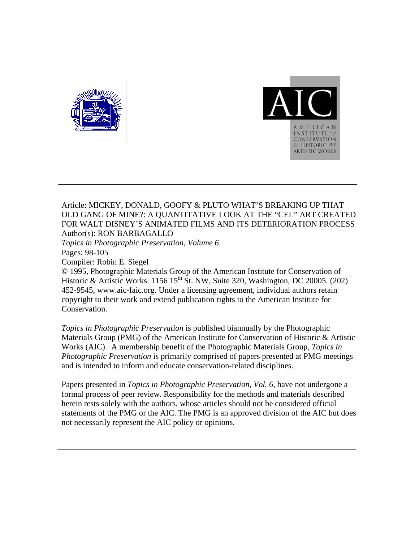



Article: MICKEY, DONALD, GOOFY & PLUTO WHAT'S BREAKING UP THAT OLD GANG OF MINE?: A QUANTITATIVE LOOK AT THE "CEL" ART CREATED FOR WALT DISNEY'S ANIMATED FILMS AND ITS DETERIORATION PROCESS Author(s): RON BARBAGALLO

*Topics in Photographic Preservation, Volume 6*.

Pages: 98-105

Compiler: Robin E. Siegel

© 1995, Photographic Materials Group of the American Institute for Conservation of Historic & Artistic Works. 1156 15<sup>th</sup> St. NW, Suite 320, Washington, DC 20005. (202) 452-9545, www.aic-faic.org. Under a licensing agreement, individual authors retain copyright to their work and extend publication rights to the American Institute for Conservation.

*Topics in Photographic Preservation* is published biannually by the Photographic Materials Group (PMG) of the American Institute for Conservation of Historic & Artistic Works (AIC). A membership benefit of the Photographic Materials Group, *Topics in Photographic Preservation* is primarily comprised of papers presented at PMG meetings and is intended to inform and educate conservation-related disciplines.

Papers presented in *Topics in Photographic Preservation, Vol. 6*, have not undergone a formal process of peer review. Responsibility for the methods and materials described herein rests solely with the authors, whose articles should not be considered official statements of the PMG or the AIC. The PMG is an approved division of the AIC but does not necessarily represent the AIC policy or opinions.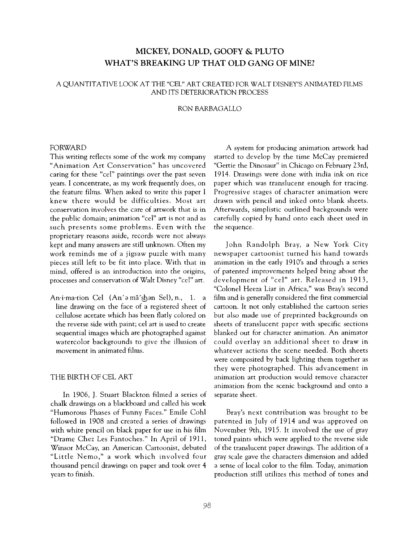# **MICKEY, DONALD, GOOFY** & **PLUTO WHAT'S BREAKING UP THAT OLD GANG OF MINE?**

# A QUANTITATIVE LOOK AT THE "CEL" ART CREATED FOR WALT DISNEY'S ANIMATED FILMS AND ITS DETERIORATION PROCESS

#### RON BARRAGALLO

#### FORWARD

This writing reflects some of the work my company "Animation Art Conservation" has uncovered caring for these "cel" paintings over the past seven years. I concentrate, as my work frequently does, on the feature films. When asked to write this paper I knew there would be difficulties. Most art conservation involves the care of artwork that is in the public domain; animation "cel" art is not and as such presents some problems. Even with the proprietary reasons aside, records were not always kept and many answers are still unknown. Often my work reminds me of a jigsaw puzzle with many pieces still left to be fit into place. With that in mind, offered is an introduction into the origins, processes and conservation of Walt Disney "cel" art.

An-i-ma-tion Cel (An's ma'shan Sel), n., 1. a line drawing on the face of a registered sheet of cellulose acetate which has been flatly colored on the reverse side with paint; cel art is used to create sequential images which are photographed against watercolor backgrounds to give the illusion of movement in animated films.

# THE BIRTH OF CEL ART

In 1906, J. Stuart Blackton filmed a series of chalk drawings on a blackboard and called his work "Humorous Phases of Funny Faces." Emile Cohl followed in 1908 and created a series of drawings with white pencil on black paper for use in his film "Drame Chez Les Fantoches." In April of 1911, Winsor McCay, an American Cartoonist, debuted "Little Nemo," a work which involved four thousand pencil drawings on paper and took over 4 years to finish.

A system for producing animation artwork had started to develop by the time McCay premiered "Gertie the Dinosaur" in Chicago on February 23rd, 1914. Drawings were done with india ink on rice paper which was translucent enough for tracing. Progressive stages of character animation were drawn with pencil and inked onto blank sheets. Afterwards, simplistic outlined backgrounds were carefully copied by hand onto each sheet used in the sequence.

John Randolph Bray, a New York City newspaper cartoonist turned his hand towards animation in the early 1910's and through a series of patented improvements helped bring about the development of "cel" art. Released in 1913, "Colonel Heeza Liar in Africa," was Bray's second film and is generally considered the first commercial cartoon. It not only established the cartoon series but also made use of preprinted backgrounds on sheets of translucent paper with specific sections blanked out for character animation. An animator could overlay an additional sheet to draw in whatever actions the scene needed. Both sheets were composited by back lighting them together as they were photographed. This advancement in animation art production would remove character animation from the scenic background and onto a separate sheet.

Bray's next contribution was brought to be patented in July of 1914 and was approved on November 9th, 1915. It involved the use of gray toned paints which were applied to the reverse side of the translucent paper drawings. The addition of a gray scale gave the characters dimension and added a sense of local color to the film. Today, animation production still utilizes this method of tones and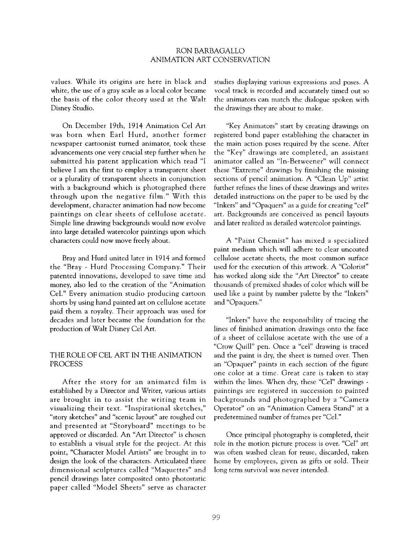values. While its origins are here in black and white, the use of a gray scale as a local color became the basis of the color theory used at the Walt Disney Studio.

On December 19th, 1914 Animation Cel Art was born when Earl Hurd, another former newspaper cartoonist turned animator, took these advancements one very crucial step further when he submitted his patent application which read ''I believe I am the first to employ a transparent sheet or a plurality of transparent sheets in conjunction with a background which is photographed there through upon the negative film." With this development, character animation had now become paintings on clear sheets of cellulose acetate. Simple line drawing backgrounds would now evolve into large detailed watercolor paintings upon which characters could now move freely about.

Bray and Hurd united later in 1914 and formed the "Bray - Hurd Processing Company." Their patented innovations, developed to save time and money, also led to the creation of the "Animation Cel." Every animation studio producing cartoon shorts by using hand painted art on cellulose acetate paid them a royalty. Their approach was used for decades and later became the foundation for the production of Walt Disney Cel Art.

# THE ROLE OF CEL ART IN THE ANIMATION PROCESS

After the story for an animated film is established by a Director and Writer, various artists are brought in to assist the writing team in visualizing their text. "Inspirational sketches," "story sketches" and "scenic layout" are roughed out and presented at "Storyboard" meetings to be approved or discarded. An "Art Director" is chosen to establish a visual style for the project. At this point, "Character Model Artists" are brought in to design the look of the characters. Articulated three dimensional sculptures called "Maquettes" and pencil drawings later composited onto photostatic paper called "Model Sheets" serve as character studies displaying various expressions and poses. A vocal track is recorded and accurately timed out so the animators can match the dialogue spoken with the drawings they are about to make.

"Key Animators" start by creating drawings on registered bond paper establishing the character in the main action poses required by the scene. After the "Key" drawings are completed, an assistant animator called an "In-Betweener" will connect these "Extreme" drawings by finishing the missing sections of pencil animation. A "Clean Up" artist further refines the lines of these drawings and writes detailed instructions on the paper to be used by the "Inkers" and "Opaquers" as a guide for creating "cel" art. Backgrounds are conceived as pencil layouts and later realized as detailed watercolor paintings.

A "Paint Chemist" has mixed a specialized paint medium which will adhere to clear uncoated cellulose acetate sheets, the most common surface used for the execution of this artwork. A "Colorist" has worked along side the "Art Director" to create thousands of premixed shades of color which will be used like a paint by number palette by the "Inkers" and "Opaquers."

"Inkers" have the responsibility of tracing the lines of finished animation drawings onto the face of a sheet of cellulose acetate with the use of a "Crow Quill" pen. Once a "cel" drawing is traced and the paint is dry, the sheet is turned over. Then an "Opaquer" paints in each section of the figure one color at a time. Great care is taken to stay within the lines. When dry, these "Cel" drawings paintings are registered in succession to painted backgrounds and photographed by a "Camera Operator" on an "Animation Camera Stand" at a predetermined number of frames per "Cel."

Once principal photography is completed, their role in the motion picture process is over. "Cel" art was often washed clean for reuse, discarded, taken home by employees, given as gifts or sold. Their long term survival was never intended.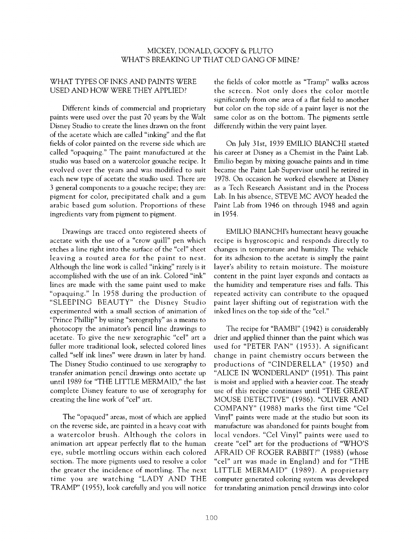# WHAT TYPES OF INKS AND PAINTS WERE USED AND HOW WERE THEY APPLIED?

Different kinds of commercial and proprietary paints were used over the past 70 years by the Walt Disney Studio to create the lines drawn on the front of the acetate which are called "inking" and the flat fields of color painted on the reverse side which are called "opaquing." The paint manufactured at the studio was based on a watercolor gouache recipe. It evolved over the years and was modified to suit each new type of acetate the studio used. There are 3 general components to a gouache recipe; they are: pigment for color, precipitated chalk and a gum arabic based gum solution. Proportions of these ingredients vary from pigment to pigment.

Drawings are traced onto registered sheets of acetate with the use of a "crow quill" pen which etches a line right into the surface of the "cel" sheet leaving a routed area for the paint to nest. Although the line work is called "inking" rarely is it accomplished with the use of an ink. Colored "ink" lines are made with the same paint used to make "opaquing." In 1958 during the production of "SLEEPING BEAUTY" the Disney Studio experimented with a small section of animation of "Prince Phillip" by using "xerography" as a means to photocopy the animator's pencil line drawings to acetate. To give the new xerographic "cel" art a fuller more traditional look, selected colored lines called "self ink lines" were drawn in later by hand. The Disney Studio continued to use xerography to transfer animation pencil drawings onto acetate up until 1989 for "THE LITTLE MERMAID," the last complete Disney feature to use of xerography for creating the line work of "cel" art.

The "opaqued" areas, most of which are applied on the reverse side, are painted in a heavy coat with a watercolor brush. Although the colors in animation art appear perfectly flat to the human eye, subtle mottling occurs within each colored section. The more pigments used to resolve a color the greater the incidence of mottling. The next time you are watching "LADY AND THE TRAMP" (1953, look carefully and you will notice the fields of color mottle as "Tramp" walks across the screen. Not only does the color mottle significantly from one area of a flat field to another but color on the top side of a paint layer is not the same color as on the bottom. The pigments settle differently within the very paint layer.

On July 31st, 1939 EMILIO BIANCHI started his career at Disney as a Chemist in the Paint Lab. Emilio began by mixing gouache paints and in time became the Paint Lab Supervisor until he retired in 1978. On occasion he worked elsewhere at Disney as a Tech Research Assistant and in the Process Lab. In his absence, STEVE MC AVOY headed the Paint Lab from 1946 on through 1948 and again in 1954.

EMILIO BIANCHI's humectant heavy gouache recipe is hygroscopic and responds directly to changes in temperature and humidity. The vehicle for its adhesion to the acetate is simply the paint layer's ability to retain moisture. The moisture content in the paint layer expands and contacts as the humidity and temperature rises and falls. This repeated activity can contribute to the opaqued paint layer shifting out of registration with the inked lines on the top side of the "cel."

The recipe for "BAMBI" (1942) is considerably drier and applied thinner than the paint which was used for "PETER PAN" (1953). A significant change in paint chemistry occurs between the productions of "CINDERELLA" ( 1950) and "ALICE IN WONDERLAND' (1951). This paint is moist and applied with a heavier coat. The steady use of this recipe continues until "THE GREAT MOUSE DETECTIVE" (1986). "OLIVER AND COMPANY" (1988) marks the first time "Cel Vinyl" paints were made at the studio but soon its manufacture was abandoned for paints bought from local vendors. "Cel Vinyl" paints were used to create "cel" art for the productions of "WHO'S AFRAID OF ROGER RABBIT?" (1988) (whose "cel" art was made in England) and for "THE LITTLE MERMAID" (1989). A proprietary computer generated coloring system was developed for translating animation pencil drawings into color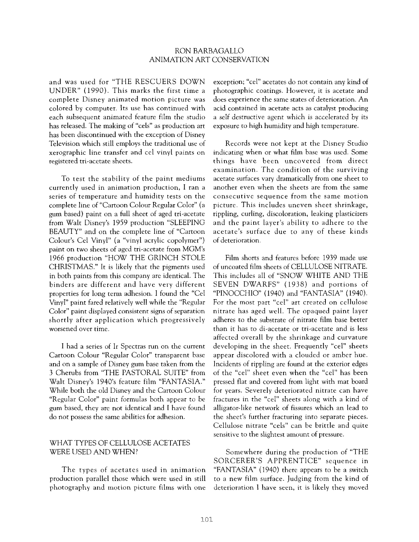and was used for "THE RESCUERS DOWN UNDER" (1990). This marks the first time a complete Disney animated motion picture was colored by computer. Its use has continued with each subsequent animated feature film the studio has released. The making of "cels" as production art has been discontinued with the exception of Disney Television which still employs the traditional use of xerographic line transfer and cel vinyl paints on registered tri-acetate sheets.

To test the stability of the paint mediums currently used in animation production, I ran a series of temperature and humidity tests on the complete line of "Cartoon Colour Regular Color" (a gum based) paint on a full sheet of aged tri-acetate from Walt Disney's 1959 production "SLEEPING BEAUTY" and on the complete line of "Cartoon Colour's Cel Vinyl" (a "vinyl acrylic copolymer") paint on two sheets of aged tri-acetate from MGM's 1966 production "HOW THE GRINCH STOLE CHRISTMAS." It is likely that the pigments used in both paints from this company are identical. The binders are different and have very different properties for long term adhesion. I found the "Cel Vinyl'' paint fared relatively well while the "Regular Color" paint displayed consistent signs of separation shortly after application which progressively worsened over time.

I had a series of Ir Spectras run on the current Cartoon Colour "Regular Color" transparent base and on a sample of Disney gum base taken from the 3 Cherubs from "THE PASTORAL SUITE" from Walt Disney's 1940's feature film "FANTASIA." While both the old Disney and the Cartoon Colour "Regular Color" paint formulas both appear to be gum based, they are not identical and I have found do not possess the same abilities for adhesion.

# WHAT TYPES OF CELLULOSE ACETATES WERE USED AND WHEN?

The types of acetates used in animation production parallel those which were used in still photography and motion picture films with one exception; "cel" acetates do not contain any kind of photographic coatings. However, it is acetate and does experience the same states of deterioration. An acid contained in acetate acts as catalyst producing a self destructive agent which is accelerated by its exposure to high humidity and high temperature.

Records were not kept at the Disney Studio indicating when or what film base was used. Some things have been uncovered from direct examination. The condition of the surviving acetate surfaces vary dramatically from one sheet to another even when the sheets are from the same consecutive sequence from the same motion picture. This includes uneven sheet shrinkage, rippling, curling, discoloration, leaking plasticizers and the paint layer's ability to adhere to the acetate's surface due to any of these kinds of deterioration.

Film shorts and features before 1939 made use of uncoated film sheets of CELLULOSE NITRATE. This includes all of "SNOW WHITE AND THE SEVEN DWARFS" (1938) and portions of "PINOCCHIO" (1940) and "FANTASIA" (1940). For the most part "cel" art created on cellulose nitrate has aged well. The opaqued paint layer adheres to the substrate of nitrate film base better than it has to di-acetate or tri-acetate and is less affected overall by the shrinkage and curvature developing in the sheet. Frequently "cel" sheets appear discolored with a clouded or amber hue. Incidents of rippling are found at the exterior edges of the "cel" sheet even when the "cel" has been pressed flat and covered from light with mat board for years. Severely deteriorated nitrate can have fractures in the "cel" sheets along with a kind of alligator-like network of fissures which an lead to the sheet's further fracturing into separate pieces. Cellulose nitrate "cels" can be brittle and quite sensitive to the slightest amount of pressure.

Somewhere during the production of "THE SORCERER'S APPRENTICE" sequence in "FANTASIA" (1940) there appears to be a switch to a new film surface. Judging from the kind of deterioration 1 have seen, it is likely they moved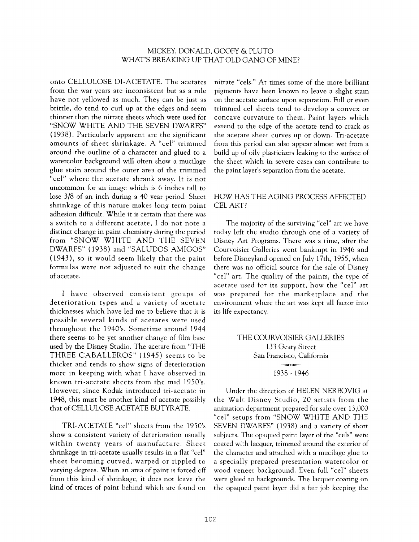onto CELLULOSE DI-ACETATE. The acetates from the war years are inconsistent but as a rule have not yellowed as much. They can be just as brittle, do tend to curl up at the edges and seem thinner than the nitrate sheets which were used for "SNOW WHITE AND THE SEVEN DWARFS" ( 1938). Particularly apparent are the significant amounts of sheet shrinkage. A "cel" trimmed around the outline of a character and glued to a watercolor background will often show a mucilage glue stain around the outer area of the trimmed "cel" where the acetate shrank away. It is not uncommon for an image which is 6 inches tall to lose 3/8 of an inch during a 40 year period. Sheet shrinkage of this nature makes long term paint adhesion difficult. While it is certain that there was a switch to a different acetate, I do not note a distinct change in paint chemistry during the period from "SNOW WHITE AND THE SEVEN DWARFS" (1938) and "SALUDOS AMIGOS" (1943), so it would seem likely that the paint formulas were not adjusted to suit the change of acetate.

I have observed consistent groups of deterioration types and a variety of acetate thicknesses which have led me to believe that it is possible several kinds of acetates were used throughout the 1940's. Sometime around 1944 there seems to be yet another change of film base used by the Disney Studio. The acetate from "THE THREE CABALLEROS" (1945) seems to be thicker and tends to show signs of deterioration more in keeping with what I have observed in known tri-acetate sheets from the mid 1950's. However, since Kodak introduced tri-acetate in 1948, this must be another kind of acetate possibly that of CELLULOSE ACETATE BUTYRATE.

TRI-ACETATE "cel" sheets from the 1950's show a consistent variety of deterioration usually within twenty years of manufacture. Sheet shrinkage in tri-acetate usually results in a flat "cel" sheet becoming curved, warped or rippled to varying degrees. When an area of paint is forced off from this kind of shrinkage, it does not leave the kind of traces of paint behind which are found on nitrate "cels." At times some of the more brilliant pigments have been known to leave a slight stain on the acetate surface upon separation. Full or even trimmed cel sheets tend to develop a convex or concave curvature to them. Paint layers which extend to the edge of the acetate tend to crack as the acetate sheet curves up or down. Tri-acetate from this period can also appear almost wet from a build up of oily plasticizers leaking to the surface of the sheet which in severe cases can contribute to the paint layer's separation from the acetate.

# HOW HAS THE AGING PROCESS AFFECTED CEL ART?

The majority of the surviving "cel" art we have today left the studio through one of a variety of Disney Art Programs. There was a time, after the Courvoisier Galleries went bankrupt in 1946 and before Disneyland opened on July 17th, 1955, when there was no official source for the sale of Disney "cel" art. The quality of the paints, the type of acetate used for its support, how the "cel" art was prepared for the marketplace and the environment where the art was kept all factor into its life expectancy.

> THE COURVOISIER GALLERIES 133 Geary Street San Francisco, California<br>———

> > 1938 \* 1946

Under the direction of HELEN NERBOVIG at the Walt Disney Studio, 20 artists from the animation department prepared for sale over 13,000 "cel" setups from "SNOW WHITE AND THE SEVEN DWARFS" (1938) and a variety of short subjects. The opaqued paint layer of the "cels" were coated with lacquer, trimmed around the exterior of the character and attached with a mucilage glue to a specially prepared presentation watercolor or wood veneer background. Even full "cel" sheets were glued to backgrounds. The lacquer coating on the opaqued paint layer did a fair job keeping the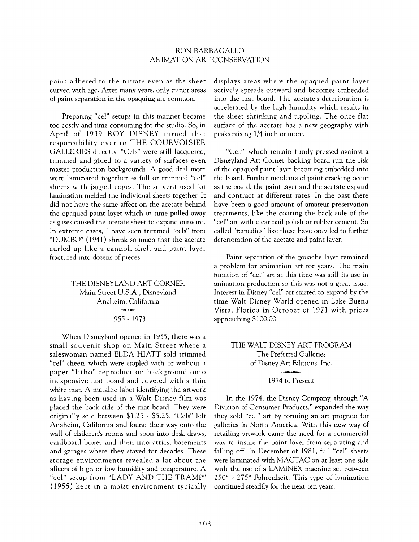paint adhered to the nitrate even as the sheet curved with age. After many years, only minor areas of paint separation in the opaquing are common.

Preparing "cel" setups in this manner became too costly and time consuming for the studio. *So,* in April of 1939 ROY DISNEY turned that responsibility over to THE COURVOISIER GALLERIES directly. "Cels" were still lacquered, trimmed and glued to a variety of surfaces even master production backgrounds. A good deal more were laminated together as full or trimmed "cel" sheets with jagged edges. The solvent used for lamination melded the individual sheets together. It did not have the same affect on the acetate behind the opaqued paint layer which in time pulled away as gases caused the acetate sheet to expand outward. In extreme cases, I have seen trimmed "cels" from "DUMBO" (1941) shrink so much that the acetate curled up like a cannoli shell and paint layer fractured into dozens of pieces.

# THE DISNEYLAND ART CORNER Main Street U.S.A., Disneyland Anaheim, California f pieces.<br>AND ART CC<br>U.S.A., Disney<br>im, California<br>55 - 1973 1955 - 1973

When Disneyland opened in 1955, there was a small souvenir shop on Main Street where a saleswoman named ELDA HIATT sold trimmed "cel" sheets which were stapled with or without a paper "litho" reproduction background onto inexpensive mat board and covered with a thin white mat. A metallic label identifying the artwork as having been used in a Walt Disney film was placed the back side of the mat board. They were originally sold between \$1.25 - \$5.25. "Cels" left Anaheim, California and found their way onto the wall of children's rooms and soon into desk draws, cardboard boxes and then into attics, basements and garages where they stayed for decades. These storage environments revealed a lot about the affects of high or low humidity and temperature. **A**  "cel') setup from "LADY AND THE TRAMP'' (1955) kept in a moist environment typically displays areas where the opaqued paint layer actively spreads outward and becomes embedded into the mat board. The acetate's deterioration is accelerated by the high humidity which results in the sheet shrinking and rippling. The once flat surface of the acetate has a new geography with peaks raising 1/4 inch or more.

"Cels" which remain firmly pressed against a Disneyland Art Corner backing board run the risk of the opaqued paint layer becoming embedded into the board. Further incidents of paint cracking occur as the board, the paint layer and the acetate expand and contract at different rates. In the past there have been a good amount of amateur preservation treatments, like the coating the back side of the "cel" art with clear nail polish or rubber cement. *So*  called "remedies" like these have only led to further deterioration of the acetate and paint layer.

Paint separation of the gouache layer remained a problem for animation art for years. The main function of "cel" art at this time was still its use in animation production so this was not a great issue. Interest in Disney "cel" art started to expand by the time Walt Disney World opened in Lake Buena Vista, Florida in October of 1971 with prices approaching \$100.00.

# THE WALT DISNEY ART PROGRAM The Preferred Galleries of Disney Art Editions, Inc.

#### 1974 to Present

In the 1974, the Disney Company, through "A Division of Consumer Products," expanded the way they sold "cel" art by forming an art program for galleries in North America. With this new way of retailing artwork came the need for a commercial way to insure the paint layer from separating and falling off. In December of 1981, full "cel" sheets were laminated with MACTAC on at least one side with the use of a LAMINEX machine set between  $250^\circ$  -  $275^\circ$  Fahrenheit. This type of lamination continued steadily for the next ten years.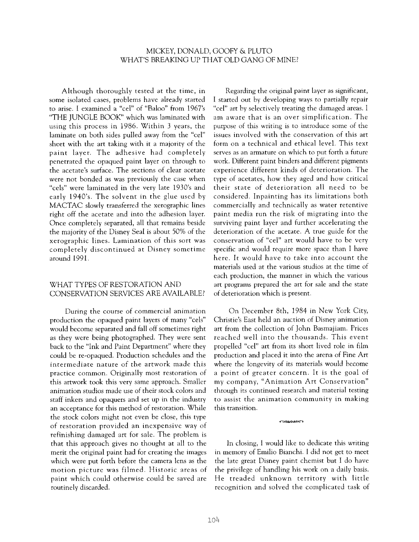# MICKEY, DONALD, GOOFY & PLUTO WHAT'S BREAKING UP THAT OLD GANG OF MINE?

Although thoroughly tested at the time, in some isolated cases, problems have already started to arise. I examined a "cel" of "Baloo" from 1967's "THE JUNGLE BOOK' which was laminated with using this process in 1986. Within 3 years, the laminate on both sides pulled away from the "cel" sheet with the art taking with it a majority of the paint layer. The adhesive had completely penetrated the opaqued paint layer on through to the acetate's surface. The sections of clear acetate were not bonded as was previously the case when "cels" were laminated in the very late 1930's and early 1940's. The solvent in the glue used by MACTAC slowly transferred the xerographic lines right off the acetate and into the adhesion layer. Once completely separated, all that remains beside the majority of the Disney Seal is about 50% of the xerographic lines. Lamination of this sort was completely discontinued at Disney sometime around 1991.

# WHAT TYPES OF RESTORATION AND CONSERVATION SERVICES ARE AVAILABLE?

During the course of commercial animation production the opaqued paint layers of many "cels" would become separated and fall off sometimes right as they were being photographed. They were sent back to the "Ink and Paint Department" where they could be re-opaqued. Production schedules and the intermediate nature of the artwork made this practice common. Originally most restoration of this artwork took this very same approach. Smaller animation studios made use of their stock colors and staff inkers and opaquers and set up in the industry an acceptance for this method of restoration. While the stock colors might not even be close, this type of restoration provided an inexpensive way of refinishing damaged art for sale. The problem is that this approach gives no thought at all to the merit the original paint had for creating the images which were put forth before the camera lens as the motion picture was filmed. Historic areas of paint which could otherwise could be saved are routinely discarded.

Regarding the original paint layer as significant, I started out by developing ways to partially repair "cel" art by selectively treating the damaged areas. I am aware that is an over simplification. The purpose of this writing is to introduce some of the issues involved with the conservation of this art form on a technical and ethical level. This text serves as an armature on which to put forth a future work. Different paint binders and different pigments experience different kinds of deterioration. The type of acetates, how they aged and how critical their state of deterioration all need to be considered. Inpainting has its limitations both commercially and technically as water retentive paint media run the risk of migrating into the surviving paint layer and further accelerating the deterioration of the acetate. A true guide for the conservation of "cel" art would have to be very specific and would require more space than I have here. It would have to take into account the materials used at the various studios at the time of each production, the manner in which the various art programs prepared the art for sale and the state of deterioration which is present.

On December 8th, 1984 in New York City, Christie's East held an auction of Disney animation art from the collection of John Basmajiam. Prices reached well into the thousands. This event propelled "cel" art from its short lived role in film production and placed it into the arena of Fine Art where the longevity of its materials would become a point of greater concern. It is the goal of my company, "Animation Art Conservation" through its continued research and material testing to assist the animation community in making this transition.

**CONVERTS** 

In closing, I would like to dedicate this writing in memory of Emilio Bianchi. I did not get to meet the late great Disney paint chemist but I do have the privilege of handling his work on a daily basis. He treaded unknown territory with little recognition and solved the complicated task of